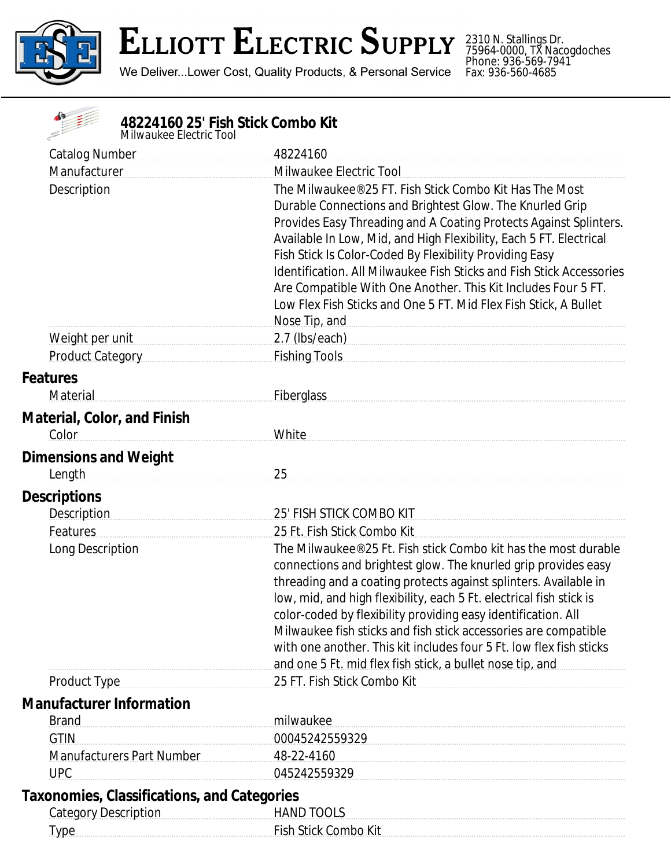

 $\frac{1}{\sqrt{2}}$ 

## **ELLIOTT ELECTRIC SUPPLY**

We Deliver...Lower Cost, Quality Products, & Personal Service

2310 N. Stallings Dr. 75964-0000, TX Nacogdoches Phone: 936-569-7941 Fax: 936-560-4685

| 48224160 25' Fish Stick Combo Kit<br>Milwaukee Electric Tool |                                                                                                                                                                                                                                                                                                                                                                                                                                                                                                                                                                              |
|--------------------------------------------------------------|------------------------------------------------------------------------------------------------------------------------------------------------------------------------------------------------------------------------------------------------------------------------------------------------------------------------------------------------------------------------------------------------------------------------------------------------------------------------------------------------------------------------------------------------------------------------------|
| Catalog Number [19]                                          | 48224160                                                                                                                                                                                                                                                                                                                                                                                                                                                                                                                                                                     |
| Manufacturer                                                 | Milwaukee Electric Tool                                                                                                                                                                                                                                                                                                                                                                                                                                                                                                                                                      |
| Description                                                  | The Milwaukee® 25 FT. Fish Stick Combo Kit Has The Most<br>Durable Connections and Brightest Glow. The Knurled Grip<br>Provides Easy Threading and A Coating Protects Against Splinters.<br>Available In Low, Mid, and High Flexibility, Each 5 FT. Electrical<br>Fish Stick Is Color-Coded By Flexibility Providing Easy<br><b>Identification, All Milwaukee Fish Sticks and Fish Stick Accessories</b><br>Are Compatible With One Another. This Kit Includes Four 5 FT.<br>Low Flex Fish Sticks and One 5 FT. Mid Flex Fish Stick, A Bullet<br>Nose Tip, and Nose Tip, and |
| Weight per unit                                              | 2.7 (Ibs/each) example and the set of the set of the set of the set of the set of the set of the set of the set of the set of the set of the set of the set of the set of the set of the set of the set of the set of the set                                                                                                                                                                                                                                                                                                                                                |
| Product Category                                             | Fishing Tools <b>Example Tools</b>                                                                                                                                                                                                                                                                                                                                                                                                                                                                                                                                           |
| <b>Features</b><br>Material                                  | <b>Fiberglass</b>                                                                                                                                                                                                                                                                                                                                                                                                                                                                                                                                                            |
| <b>Material, Color, and Finish</b><br>Color                  | White                                                                                                                                                                                                                                                                                                                                                                                                                                                                                                                                                                        |
| <b>Dimensions and Weight</b><br>Length                       | 25                                                                                                                                                                                                                                                                                                                                                                                                                                                                                                                                                                           |
| <b>Descriptions</b>                                          |                                                                                                                                                                                                                                                                                                                                                                                                                                                                                                                                                                              |
| Description                                                  | 25' FISH STICK COMBO KIT                                                                                                                                                                                                                                                                                                                                                                                                                                                                                                                                                     |
| Features                                                     | 25 Ft. Fish Stick Combo Kit                                                                                                                                                                                                                                                                                                                                                                                                                                                                                                                                                  |
| Long Description                                             | The Milwaukee® 25 Ft. Fish stick Combo kit has the most durable<br>connections and brightest glow. The knurled grip provides easy<br>threading and a coating protects against splinters. Available in<br>low, mid, and high flexibility, each 5 Ft. electrical fish stick is<br>color-coded by flexibility providing easy identification. All<br>Milwaukee fish sticks and fish stick accessories are compatible<br>with one another. This kit includes four 5 Ft. low flex fish sticks<br>and one 5 Ft. mid flex fish stick, a bullet nose tip, and                         |
| Product Type                                                 | 25 FT. Fish Stick Combo Kit                                                                                                                                                                                                                                                                                                                                                                                                                                                                                                                                                  |
| <b>Manufacturer Information</b>                              |                                                                                                                                                                                                                                                                                                                                                                                                                                                                                                                                                                              |
| <b>Brand</b>                                                 | milwaukee                                                                                                                                                                                                                                                                                                                                                                                                                                                                                                                                                                    |
| <b>GTIN</b>                                                  | 00045242559329                                                                                                                                                                                                                                                                                                                                                                                                                                                                                                                                                               |
| <b>Manufacturers Part Number</b>                             | 48-22-4160                                                                                                                                                                                                                                                                                                                                                                                                                                                                                                                                                                   |
| <b>UPC</b>                                                   | 045242559329                                                                                                                                                                                                                                                                                                                                                                                                                                                                                                                                                                 |
| <b>Taxonomies, Classifications, and Categories</b>           |                                                                                                                                                                                                                                                                                                                                                                                                                                                                                                                                                                              |
| <b>Category Description</b>                                  | <b>HAND TOOLS</b>                                                                                                                                                                                                                                                                                                                                                                                                                                                                                                                                                            |
| <b>Type</b>                                                  | Fish Stick Combo Kit                                                                                                                                                                                                                                                                                                                                                                                                                                                                                                                                                         |